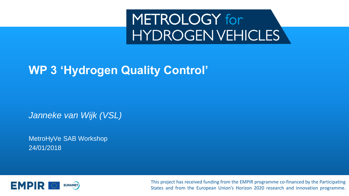# METROLOGY for **HYDROGENVEHICLES**

# **WP 3 'Hydrogen Quality Control'**

*Janneke van Wijk (VSL)*

MetroHyVe SAB Workshop 24/01/2018



This project has received funding from the EMPIR programme co-financed by the Participating States and from the European Union's Horizon 2020 research and innovation programme.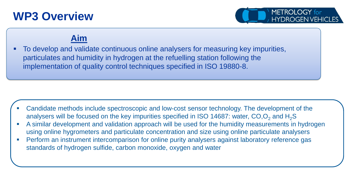## **WP3 Overview**



#### **Aim**

To develop and validate continuous online analysers for measuring key impurities, particulates and humidity in hydrogen at the refuelling station following the implementation of quality control techniques specified in ISO 19880-8.

- Candidate methods include spectroscopic and low-cost sensor technology. The development of the analysers will be focused on the key impurities specified in ISO 14687: water,  $CO_1O_2$  and H<sub>2</sub>S
- A similar development and validation approach will be used for the humidity measurements in hydrogen using online hygrometers and particulate concentration and size using online particulate analysers
- Perform an instrument intercomparison for online purity analysers against laboratory reference gas standards of hydrogen sulfide, carbon monoxide, oxygen and water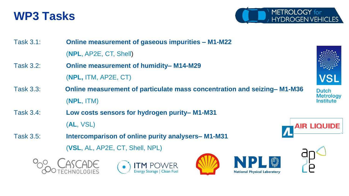## **WP3 Tasks**



- Task 3.1: **Online measurement of gaseous impurities – M1-M22** (**NPL**, AP2E, CT, Shell) Task 3.2: **Online measurement of humidity– M14-M29** (**NPL,** ITM, AP2E, CT) Task 3.3: **Online measurement of particulate mass concentration and seizing– M1-M36** (**NPL**, ITM)
- Task 3.4: **Low costs sensors for hydrogen purity– M1-M31** (**AL**, VSL)
- Task 3.5: **Intercomparison of online purity analysers– M1-M31** (**VSL**, AL, AP2E, CT, Shell, NPL)













**Dutch Metrology** Institute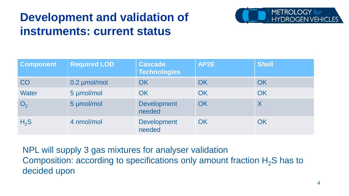# **Development and validation of instruments: current status**



| <b>Component</b> | <b>Required LOD</b> | <b>Cascade</b><br><b>Technologies</b> | AP2E | <b>Shell</b>              |
|------------------|---------------------|---------------------------------------|------|---------------------------|
| CO               | 0.2 µmol/mol        | OK                                    | OK   | OK                        |
| <b>Water</b>     | 5 µmol/mol          | OK                                    | OK   | OK                        |
| O <sub>2</sub>   | 5 µmol/mol          | <b>Development</b><br>needed          | OK   | $\boldsymbol{\mathsf{X}}$ |
| $H_2S$           | 4 nmol/mol          | <b>Development</b><br>needed          | OK   | OK                        |

NPL will supply 3 gas mixtures for analyser validation Composition: according to specifications only amount fraction  $H_2$ S has to decided upon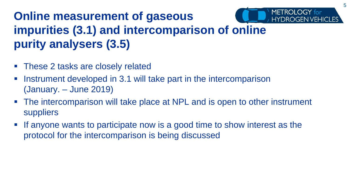# **Online measurement of gaseous impurities (3.1) and intercomparison of online purity analysers (3.5)**

- These 2 tasks are closely related
- Instrument developed in 3.1 will take part in the intercomparison (January. – June 2019)
- The intercomparison will take place at NPL and is open to other instrument suppliers
- If anyone wants to participate now is a good time to show interest as the protocol for the intercomparison is being discussed

METROLOGY for

**HYDROGEN VEHICLES**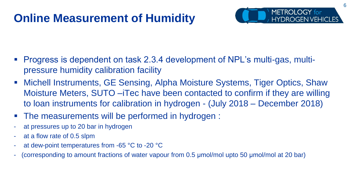# **Online Measurement of Humidity**



- Progress is dependent on task 2.3.4 development of NPL's multi-gas, multipressure humidity calibration facility
- Michell Instruments, GE Sensing, Alpha Moisture Systems, Tiger Optics, Shaw Moisture Meters, SUTO –iTec have been contacted to confirm if they are willing to loan instruments for calibration in hydrogen - (July 2018 – December 2018)
- The measurements will be performed in hydrogen :
- at pressures up to 20 bar in hydrogen
- at a flow rate of 0.5 slpm
- at dew-point temperatures from -65  $\degree$ C to -20  $\degree$ C
- (corresponding to amount fractions of water vapour from 0.5 μmol/mol upto 50 μmol/mol at 20 bar)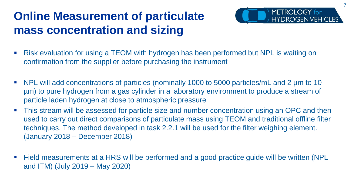# **Online Measurement of particulate mass concentration and sizing**



- Risk evaluation for using a TEOM with hydrogen has been performed but NPL is waiting on confirmation from the supplier before purchasing the instrument
- NPL will add concentrations of particles (nominally 1000 to 5000 particles/mL and 2 µm to 10 µm) to pure hydrogen from a gas cylinder in a laboratory environment to produce a stream of particle laden hydrogen at close to atmospheric pressure
- **This stream will be assessed for particle size and number concentration using an OPC and then** used to carry out direct comparisons of particulate mass using TEOM and traditional offline filter techniques. The method developed in task 2.2.1 will be used for the filter weighing element. (January 2018 – December 2018)
- Field measurements at a HRS will be performed and a good practice guide will be written (NPL and ITM) (July 2019 – May 2020)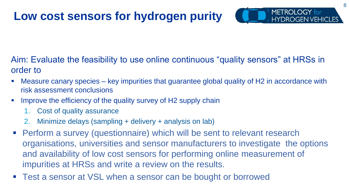

- Aim: Evaluate the feasibility to use online continuous "quality sensors" at HRSs in order to
- Measure canary species key impurities that guarantee global quality of H2 in accordance with risk assessment conclusions
- Improve the efficiency of the quality survey of H2 supply chain
	- 1. Cost of quality assurance
	- 2. Minimize delays (sampling + delivery + analysis on lab)
- Perform a survey (questionnaire) which will be sent to relevant research organisations, universities and sensor manufacturers to investigate the options and availability of low cost sensors for performing online measurement of impurities at HRSs and write a review on the results.
- Test a sensor at VSL when a sensor can be bought or borrowed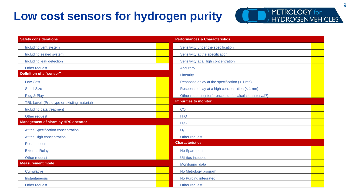## **Low cost sensors for hydrogen purity**



| <b>Safety considerations</b>               |  | <b>Performances &amp; Characteristics</b>                   |  |  |
|--------------------------------------------|--|-------------------------------------------------------------|--|--|
| Including vent system                      |  | Sensitivity under the specification                         |  |  |
| Including sealed system                    |  | Sensitivity at the specification                            |  |  |
| Including leak detection                   |  | Sensitivity at a High concentration                         |  |  |
| Other request                              |  | Accuracy                                                    |  |  |
| Definition of a "sensor"                   |  | Linearity                                                   |  |  |
| <b>Low Cost</b>                            |  | Response delay at the specification (< 1 mn)                |  |  |
| <b>Small Size</b>                          |  | Response delay at a high concentration (< 1 mn)             |  |  |
| Plug & Play                                |  | Other request (interferences, drift, calculation interval?) |  |  |
| TRL Level (Prototype or existing material) |  | <b>Impurities to monitor</b>                                |  |  |
| Including data treatment                   |  | CO                                                          |  |  |
| Other request                              |  | H <sub>2</sub> O                                            |  |  |
| <b>Management of alarm by HRS operator</b> |  | H <sub>2</sub> S                                            |  |  |
| At the Specification concentration         |  | O <sub>2</sub>                                              |  |  |
| At the High concentration                  |  | Other request                                               |  |  |
| Reset option                               |  | <b>Characteristics</b>                                      |  |  |
| <b>External Relay</b>                      |  | No Spare part                                               |  |  |
| Other request                              |  | <b>Utilities included</b>                                   |  |  |
| <b>Measurement mode</b>                    |  | Monitoring data                                             |  |  |
| Cumulative                                 |  | No Metrology program                                        |  |  |
| Instantaneous                              |  | No Purging integrated                                       |  |  |
| Other request                              |  | Other request                                               |  |  |